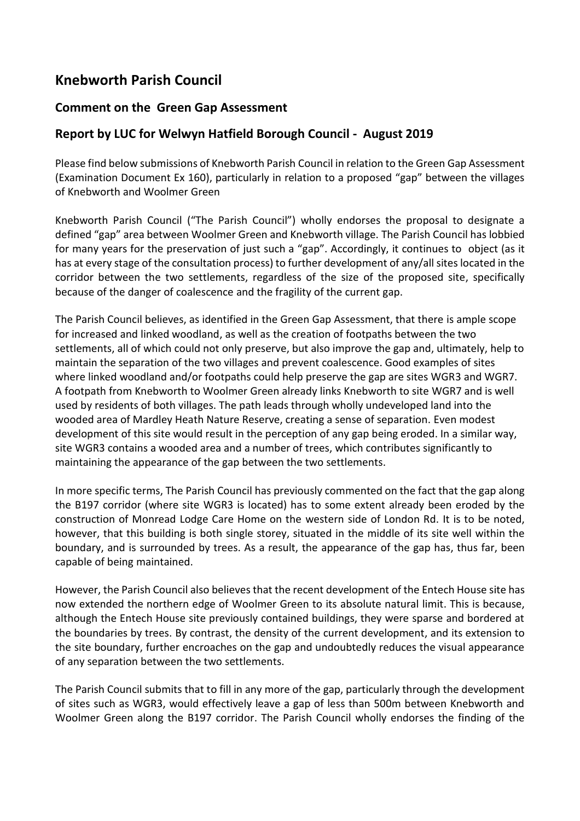## **Knebworth Parish Council**

## **Comment on the Green Gap Assessment**

## **Report by LUC for Welwyn Hatfield Borough Council - August 2019**

Please find below submissions of Knebworth Parish Council in relation to the Green Gap Assessment (Examination Document Ex 160), particularly in relation to a proposed "gap" between the villages of Knebworth and Woolmer Green

Knebworth Parish Council ("The Parish Council") wholly endorses the proposal to designate a defined "gap" area between Woolmer Green and Knebworth village. The Parish Council has lobbied for many years for the preservation of just such a "gap". Accordingly, it continues to object (as it has at every stage of the consultation process) to further development of any/all sites located in the corridor between the two settlements, regardless of the size of the proposed site, specifically because of the danger of coalescence and the fragility of the current gap.

The Parish Council believes, as identified in the Green Gap Assessment, that there is ample scope for increased and linked woodland, as well as the creation of footpaths between the two settlements, all of which could not only preserve, but also improve the gap and, ultimately, help to maintain the separation of the two villages and prevent coalescence. Good examples of sites where linked woodland and/or footpaths could help preserve the gap are sites WGR3 and WGR7. A footpath from Knebworth to Woolmer Green already links Knebworth to site WGR7 and is well used by residents of both villages. The path leads through wholly undeveloped land into the wooded area of Mardley Heath Nature Reserve, creating a sense of separation. Even modest development of this site would result in the perception of any gap being eroded. In a similar way, site WGR3 contains a wooded area and a number of trees, which contributes significantly to maintaining the appearance of the gap between the two settlements.

In more specific terms, The Parish Council has previously commented on the fact that the gap along the B197 corridor (where site WGR3 is located) has to some extent already been eroded by the construction of Monread Lodge Care Home on the western side of London Rd. It is to be noted, however, that this building is both single storey, situated in the middle of its site well within the boundary, and is surrounded by trees. As a result, the appearance of the gap has, thus far, been capable of being maintained.

However, the Parish Council also believes that the recent development of the Entech House site has now extended the northern edge of Woolmer Green to its absolute natural limit. This is because, although the Entech House site previously contained buildings, they were sparse and bordered at the boundaries by trees. By contrast, the density of the current development, and its extension to the site boundary, further encroaches on the gap and undoubtedly reduces the visual appearance of any separation between the two settlements.

The Parish Council submits that to fill in any more of the gap, particularly through the development of sites such as WGR3, would effectively leave a gap of less than 500m between Knebworth and Woolmer Green along the B197 corridor. The Parish Council wholly endorses the finding of the